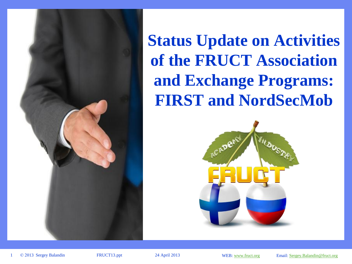

**Status Update on Activities of the FRUCT Association and Exchange Programs: FIRST and NordSecMob**

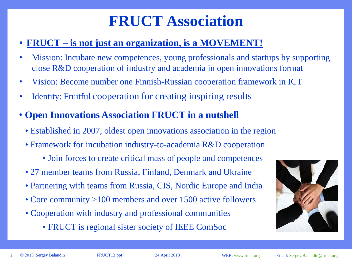### **FRUCT Association**

#### • **FRUCT – is not just an organization, is a MOVEMENT!**

- Mission: Incubate new competences, young professionals and startups by supporting close R&D cooperation of industry and academia in open innovations format
- Vision: Become number one Finnish-Russian cooperation framework in ICT
- Identity: Fruitful cooperation for creating inspiring results
- **Open Innovations Association FRUCT in a nutshell**
	- Established in 2007, oldest open innovations association in the region
	- Framework for incubation industry-to-academia R&D cooperation
		- Join forces to create critical mass of people and competences
	- 27 member teams from Russia, Finland, Denmark and Ukraine
	- Partnering with teams from Russia, CIS, Nordic Europe and India
	- Core community >100 members and over 1500 active followers
	- Cooperation with industry and professional communities
		- FRUCT is regional sister society of IEEE ComSoc

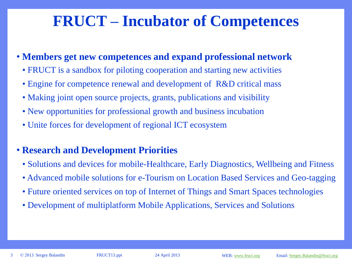### **FRUCT – Incubator of Competences**

#### • **Members get new competences and expand professional network**

- FRUCT is a sandbox for piloting cooperation and starting new activities
- Engine for competence renewal and development of R&D critical mass
- Making joint open source projects, grants, publications and visibility
- New opportunities for professional growth and business incubation
- Unite forces for development of regional ICT ecosystem

#### • **Research and Development Priorities**

- Solutions and devices for mobile-Healthcare, Early Diagnostics, Wellbeing and Fitness
- Advanced mobile solutions for e-Tourism on Location Based Services and Geo-tagging
- Future oriented services on top of Internet of Things and Smart Spaces technologies
- Development of multiplatform Mobile Applications, Services and Solutions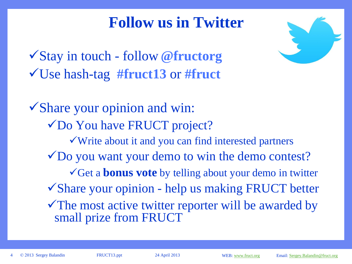### **Follow us in Twitter**



Stay in touch - follow **@fructorg** Use hash-tag **#fruct13** or **#fruct**

Share your opinion and win: Do You have FRUCT project? Write about it and you can find interested partners Do you want your demo to win the demo contest? Get a **bonus vote** by telling about your demo in twitter Share your opinion - help us making FRUCT better The most active twitter reporter will be awarded by small prize from FRUCT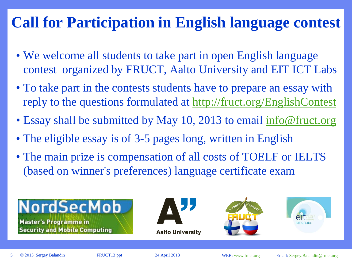### **Call for Participation in English language contest**

- We welcome all students to take part in open English language contest organized by FRUCT, Aalto University and EIT ICT Labs
- To take part in the contests students have to prepare an essay with reply to the questions formulated at <http://fruct.org/EnglishContest>
- Essay shall be submitted by May 10, 2013 to email [info@fruct.org](mailto:info@fruct.org)
- The eligible essay is of 3-5 pages long, written in English
- The main prize is compensation of all costs of TOELF or IELTS (based on winner's preferences) language certificate exam

**NordSecMob Master's Programme in Security and Mobile Computing** 



**Aalto University** 



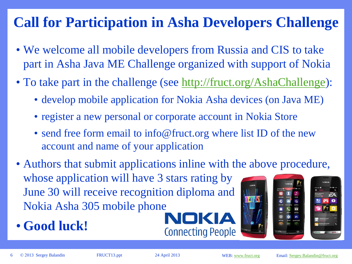### **Call for Participation in Asha Developers Challenge**

- We welcome all mobile developers from Russia and CIS to take part in Asha Java ME Challenge organized with support of Nokia
- To take part in the challenge (see [http://fruct.org/AshaChallenge\)](http://fruct.org/AshaChallenge):
	- develop mobile application for Nokia Asha devices (on Java ME)
	- register a new personal or corporate account in Nokia Store
	- send free form email to info@fruct.org where list ID of the new account and name of your application
- Authors that submit applications inline with the above procedure, whose application will have 3 stars rating by June 30 will receive recognition diploma and Nokia Asha 305 mobile phone
- **Good luck!**



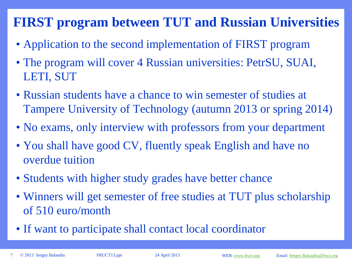### **FIRST program between TUT and Russian Universities**

- Application to the second implementation of FIRST program
- The program will cover 4 Russian universities: PetrSU, SUAI, LETI, SUT
- Russian students have a chance to win semester of studies at Tampere University of Technology (autumn 2013 or spring 2014)
- No exams, only interview with professors from your department
- You shall have good CV, fluently speak English and have no overdue tuition
- Students with higher study grades have better chance
- Winners will get semester of free studies at TUT plus scholarship of 510 euro/month
- If want to participate shall contact local coordinator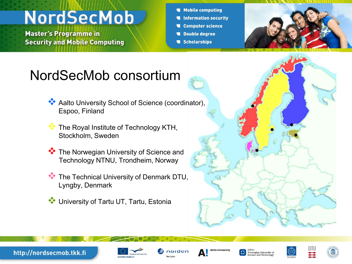**Master's Programme in Security and Mobile Computing** 

- Mobile computing
- Information security
- **Computer science**
- **U** Double degree
- Scholarships



### NordSecMob consortium

- **Aalto University School of Science (coordinator),** Espoo, Finland
- **The Royal Institute of Technology KTH,** Stockholm, Sweden
- The Norwegian University of Science and Technology NTNU, Trondheim, Norway
- The Technical University of Denmark DTU, Lyngby, Denmark
- **W** University of Tartu UT, Tartu, Estonia









http://nordsecmob.tkk.fi







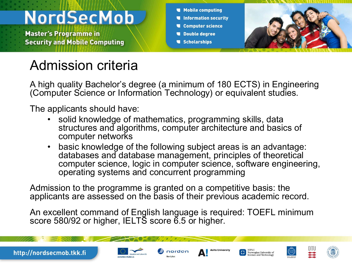**Master's Programme in Security and Mobile Computing** 

- Mobile computing
- Information security
- Computer science
- **U** Double degree
- Scholarships



### Admission criteria

A high quality Bachelor's degree (a minimum of 180 ECTS) in Engineering (Computer Science or Information Technology) or equivalent studies.

The applicants should have:

- solid knowledge of mathematics, programming skills, data structures and algorithms, computer architecture and basics of computer networks
- basic knowledge of the following subject areas is an advantage: databases and database management, principles of theoretical computer science, logic in computer science, software engineering, operating systems and concurrent programming

Admission to the programme is granted on a competitive basis: the applicants are assessed on the basis of their previous academic record.

An excellent command of English language is required: TOEFL minimum score 580/92 or higher, IELTS score 6.5 or higher.













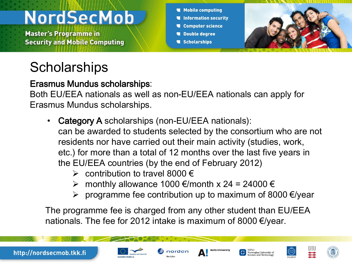**Master's Programme in Security and Mobile Computing** 

- Mobile computing
- Information security
- **Computer science**
- **Double degree**
- Scholarships



### **Scholarships**

#### Erasmus Mundus scholarships:

Both EU/EEA nationals as well as non-EU/EEA nationals can apply for Erasmus Mundus scholarships.

- Category A scholarships (non-EU/EEA nationals): can be awarded to students selected by the consortium who are not residents nor have carried out their main activity (studies, work, etc.) for more than a total of 12 months over the last five years in the EU/EEA countries (by the end of February 2012)
	- $\triangleright$  contribution to travel 8000  $\in$
	- > monthly allowance 1000 €/month x 24 = 24000 €
	- $\triangleright$  programme fee contribution up to maximum of 8000  $\epsilon$ /year

The programme fee is charged from any other student than EU/EEA nationals. The fee for 2012 intake is maximum of 8000  $\epsilon$ /year.











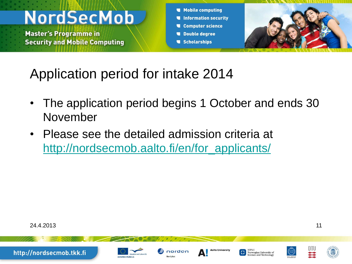**Master's Programme in Security and Mobile Computing** 

- Mobile computing Information security Computer science **U** Double degree
- Scholarships



Application period for intake 2014

- The application period begins 1 October and ends 30 November
- Please see the detailed admission criteria at [http://nordsecmob.aalto.fi/en/for\\_applicants/](http://nordsecmob.aalto.fi/en/for_applicants/)

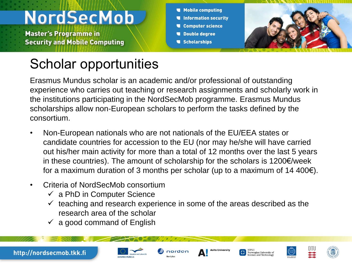**Master's Programme in Security and Mobile Computing** 

- Mobile computing
- Information security
- **Computer science**
- **Double degree**
- Scholarships



### Scholar opportunities

Erasmus Mundus scholar is an academic and/or professional of outstanding experience who carries out teaching or research assignments and scholarly work in the institutions participating in the NordSecMob programme. Erasmus Mundus scholarships allow non-European scholars to perform the tasks defined by the consortium.

- Non-European nationals who are not nationals of the EU/EEA states or candidate countries for accession to the EU (nor may he/she will have carried out his/her main activity for more than a total of 12 months over the last 5 years in these countries). The amount of scholarship for the scholars is 1200€/week for a maximum duration of 3 months per scholar (up to a maximum of 14 400 $\varepsilon$ ).
- Criteria of NordSecMob consortium
	- $\checkmark$  a PhD in Computer Science
	- $\checkmark$  teaching and research experience in some of the areas described as the research area of the scholar
	- $\checkmark$  a good command of English

http://nordsecmob.tkk.fi









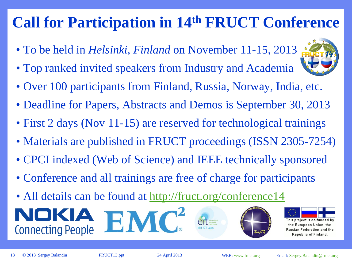### **Call for Participation in 14th FRUCT Conference**

- To be held in *Helsinki, Finland* on November 11-15, 2013
- Top ranked invited speakers from Industry and Academia
- Over 100 participants from Finland, Russia, Norway, India, etc.
- Deadline for Papers, Abstracts and Demos is September 30, 2013
- First 2 days (Nov 11-15) are reserved for technological trainings
- Materials are published in FRUCT proceedings (ISSN 2305-7254)
- CPCI indexed (Web of Science) and IEEE technically sponsored
- Conference and all trainings are free of charge for participants
- All details can be found at <http://fruct.org/conference14>









the European Union, the Russian Federation and the Republic of Finland.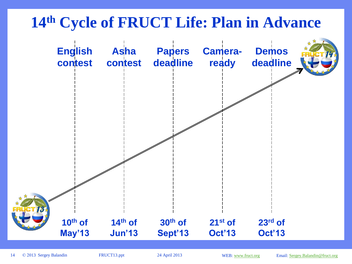### **14th Cycle of FRUCT Life: Plan in Advance**

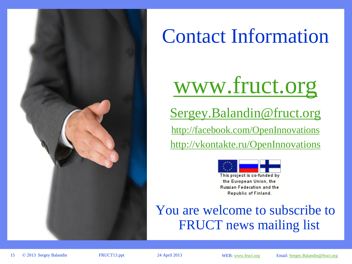

## Contact Information

# [www.fruct.org](http://www.fruct.org/)

[Sergey.Balandin@fruct.org](mailto:Sergey.Balandin@fruct.org) <http://facebook.com/OpenInnovations>

<http://vkontakte.ru/OpenInnovations>



### You are welcome to subscribe to FRUCT news mailing list